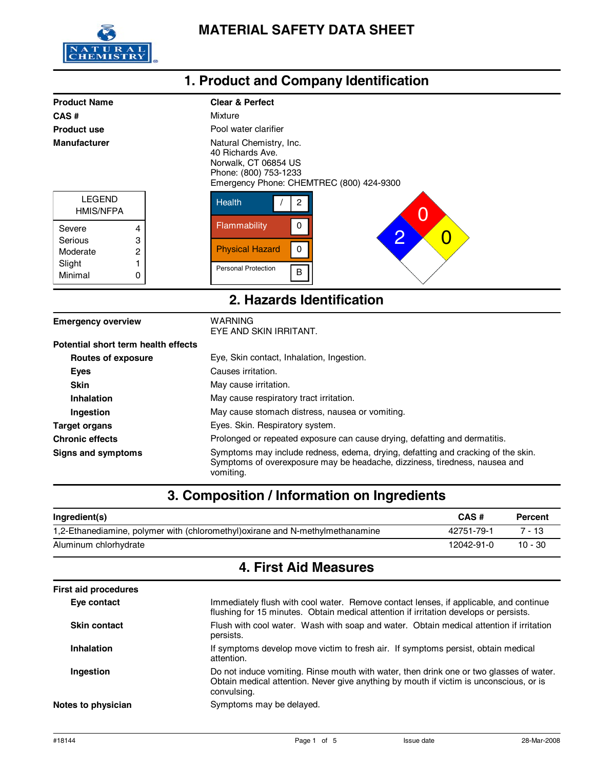

| CAS#<br><b>Product use</b> |   | Mixture                                                                                                                                  |  |  |
|----------------------------|---|------------------------------------------------------------------------------------------------------------------------------------------|--|--|
|                            |   |                                                                                                                                          |  |  |
|                            |   | Pool water clarifier                                                                                                                     |  |  |
| <b>Manufacturer</b>        |   | Natural Chemistry, Inc.<br>40 Richards Ave.<br>Norwalk, CT 06854 US<br>Phone: (800) 753-1233<br>Emergency Phone: CHEMTREC (800) 424-9300 |  |  |
| <b>LEGEND</b><br>HMIS/NFPA |   | <b>Health</b><br>O                                                                                                                       |  |  |
| Severe                     | 4 | Flammability<br>$\Omega$                                                                                                                 |  |  |
| Serious                    | 3 | $\overline{2}$<br>Û                                                                                                                      |  |  |
| Moderate                   | 2 | <b>Physical Hazard</b><br>0                                                                                                              |  |  |
| Slight                     |   | <b>Personal Protection</b>                                                                                                               |  |  |
| Minimal                    | 0 | B                                                                                                                                        |  |  |

## **1. Product and Company Identification**

| <b>Emergency overview</b>           | WARNING<br>EYE AND SKIN IRRITANT.                                                                                                                                           |
|-------------------------------------|-----------------------------------------------------------------------------------------------------------------------------------------------------------------------------|
| Potential short term health effects |                                                                                                                                                                             |
| Routes of exposure                  | Eye, Skin contact, Inhalation, Ingestion.                                                                                                                                   |
| Eyes                                | Causes irritation.                                                                                                                                                          |
| <b>Skin</b>                         | May cause irritation.                                                                                                                                                       |
| Inhalation                          | May cause respiratory tract irritation.                                                                                                                                     |
| Ingestion                           | May cause stomach distress, nausea or vomiting.                                                                                                                             |
| <b>Target organs</b>                | Eyes. Skin. Respiratory system.                                                                                                                                             |
| <b>Chronic effects</b>              | Prolonged or repeated exposure can cause drying, defatting and dermatitis.                                                                                                  |
| Signs and symptoms                  | Symptoms may include redness, edema, drying, defatting and cracking of the skin.<br>Symptoms of overexposure may be headache, dizziness, tiredness, nausea and<br>vomiting. |

# **3. Composition / Information on Ingredients**

| Ingredient(s)                                                                  | CAS#       | Percent   |
|--------------------------------------------------------------------------------|------------|-----------|
| 1,2-Ethanediamine, polymer with (chloromethyl) oxirane and N-methylmethanamine | 42751-79-1 | 7 - 13    |
| Aluminum chlorhydrate                                                          | 12042-91-0 | $10 - 30$ |

## **4. First Aid Measures**

| <b>First aid procedures</b> |                                                                                                                                                                                                  |  |
|-----------------------------|--------------------------------------------------------------------------------------------------------------------------------------------------------------------------------------------------|--|
| Eye contact                 | Immediately flush with cool water. Remove contact lenses, if applicable, and continue<br>flushing for 15 minutes. Obtain medical attention if irritation develops or persists.                   |  |
| <b>Skin contact</b>         | Flush with cool water. Wash with soap and water. Obtain medical attention if irritation<br>persists.                                                                                             |  |
| <b>Inhalation</b>           | If symptoms develop move victim to fresh air. If symptoms persist, obtain medical<br>attention.                                                                                                  |  |
| Ingestion                   | Do not induce vomiting. Rinse mouth with water, then drink one or two glasses of water.<br>Obtain medical attention. Never give anything by mouth if victim is unconscious, or is<br>convulsing. |  |
| Notes to physician          | Symptoms may be delayed.                                                                                                                                                                         |  |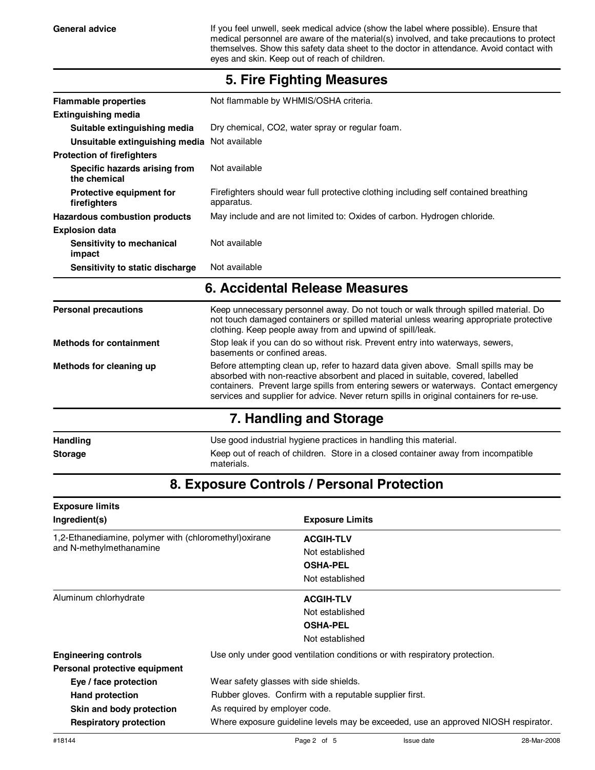General advice **If you feel unwell, seek medical advice (show the label where possible). Ensure that** medical personnel are aware of the material(s) involved, and take precautions to protect themselves. Show this safety data sheet to the doctor in attendance. Avoid contact with eyes and skin. Keep out of reach of children.

| <b>Flammable properties</b>                     | Not flammable by WHMIS/OSHA criteria.                                                                                                                                                                                                                                                                                                                    |  |  |
|-------------------------------------------------|----------------------------------------------------------------------------------------------------------------------------------------------------------------------------------------------------------------------------------------------------------------------------------------------------------------------------------------------------------|--|--|
| <b>Extinguishing media</b>                      |                                                                                                                                                                                                                                                                                                                                                          |  |  |
| Suitable extinguishing media                    | Dry chemical, CO2, water spray or regular foam.                                                                                                                                                                                                                                                                                                          |  |  |
| Unsuitable extinguishing media Not available    |                                                                                                                                                                                                                                                                                                                                                          |  |  |
| <b>Protection of firefighters</b>               |                                                                                                                                                                                                                                                                                                                                                          |  |  |
| Specific hazards arising from<br>the chemical   | Not available                                                                                                                                                                                                                                                                                                                                            |  |  |
| <b>Protective equipment for</b><br>firefighters | Firefighters should wear full protective clothing including self contained breathing<br>apparatus.                                                                                                                                                                                                                                                       |  |  |
| <b>Hazardous combustion products</b>            | May include and are not limited to: Oxides of carbon. Hydrogen chloride.                                                                                                                                                                                                                                                                                 |  |  |
| <b>Explosion data</b>                           |                                                                                                                                                                                                                                                                                                                                                          |  |  |
| Sensitivity to mechanical<br>impact             | Not available                                                                                                                                                                                                                                                                                                                                            |  |  |
| Sensitivity to static discharge                 | Not available                                                                                                                                                                                                                                                                                                                                            |  |  |
|                                                 | 6. Accidental Release Measures                                                                                                                                                                                                                                                                                                                           |  |  |
| <b>Personal precautions</b>                     | Keep unnecessary personnel away. Do not touch or walk through spilled material. Do<br>not touch damaged containers or spilled material unless wearing appropriate protective<br>clothing. Keep people away from and upwind of spill/leak.                                                                                                                |  |  |
| <b>Methods for containment</b>                  | Stop leak if you can do so without risk. Prevent entry into waterways, sewers,<br>basements or confined areas.                                                                                                                                                                                                                                           |  |  |
| Methods for cleaning up                         | Before attempting clean up, refer to hazard data given above. Small spills may be<br>absorbed with non-reactive absorbent and placed in suitable, covered, labelled<br>containers. Prevent large spills from entering sewers or waterways. Contact emergency<br>services and supplier for advice. Never return spills in original containers for re-use. |  |  |
|                                                 | 7. Handling and Storage                                                                                                                                                                                                                                                                                                                                  |  |  |
| <b>Handling</b>                                 | Use good industrial hygiene practices in handling this material.                                                                                                                                                                                                                                                                                         |  |  |
|                                                 | Keep out of reach of children. Store in a closed container away from incompatible                                                                                                                                                                                                                                                                        |  |  |

#### **5. Fire Fighting Measures**

## **8. Exposure Controls / Personal Protection**

materials.

| <b>Exposure limits</b>                                                            |                                                                                    |                        |  |
|-----------------------------------------------------------------------------------|------------------------------------------------------------------------------------|------------------------|--|
| Ingredient(s)                                                                     |                                                                                    | <b>Exposure Limits</b> |  |
| 1,2-Ethanediamine, polymer with (chloromethyl) oxirane<br>and N-methylmethanamine |                                                                                    | <b>ACGIH-TLV</b>       |  |
|                                                                                   |                                                                                    | Not established        |  |
|                                                                                   |                                                                                    | <b>OSHA-PEL</b>        |  |
|                                                                                   |                                                                                    | Not established        |  |
| Aluminum chlorhydrate                                                             |                                                                                    | <b>ACGIH-TLV</b>       |  |
|                                                                                   |                                                                                    | Not established        |  |
|                                                                                   |                                                                                    | <b>OSHA-PEL</b>        |  |
|                                                                                   |                                                                                    | Not established        |  |
| <b>Engineering controls</b>                                                       | Use only under good ventilation conditions or with respiratory protection.         |                        |  |
| Personal protective equipment                                                     |                                                                                    |                        |  |
| Eye / face protection                                                             | Wear safety glasses with side shields.                                             |                        |  |
| <b>Hand protection</b>                                                            | Rubber gloves. Confirm with a reputable supplier first.                            |                        |  |
| Skin and body protection                                                          | As required by employer code.                                                      |                        |  |
| <b>Respiratory protection</b>                                                     | Where exposure guideline levels may be exceeded, use an approved NIOSH respirator. |                        |  |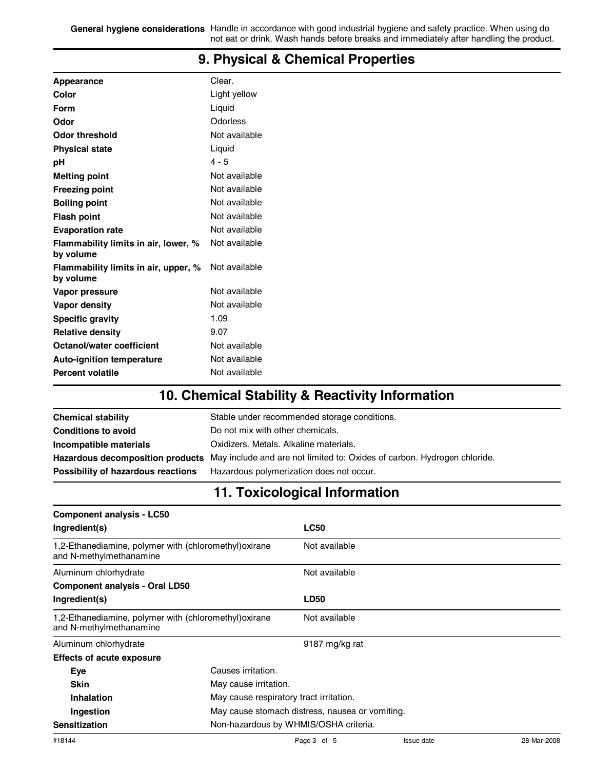**General hygiene considerations** Handle in accordance with good industrial hygiene and safety practice. When using do not eat or drink. Wash hands before breaks and immediately after handling the product.

| Appearance                                        | Clear.                                        |  |  |  |  |  |
|---------------------------------------------------|-----------------------------------------------|--|--|--|--|--|
| <b>Color</b>                                      | Light yellow                                  |  |  |  |  |  |
| <b>Form</b>                                       | Liquid                                        |  |  |  |  |  |
| Odor                                              | Odorless                                      |  |  |  |  |  |
| <b>Odor threshold</b>                             | Not available                                 |  |  |  |  |  |
| <b>Physical state</b>                             | Liquid                                        |  |  |  |  |  |
| pH                                                | $4 - 5$                                       |  |  |  |  |  |
| <b>Melting point</b>                              | Not available                                 |  |  |  |  |  |
| <b>Freezing point</b>                             | Not available                                 |  |  |  |  |  |
| <b>Boiling point</b>                              | Not available                                 |  |  |  |  |  |
| <b>Flash point</b>                                | Not available                                 |  |  |  |  |  |
| <b>Evaporation rate</b>                           | Not available                                 |  |  |  |  |  |
| Flammability limits in air, lower, %<br>by volume | Not available                                 |  |  |  |  |  |
| Flammability limits in air, upper, %<br>by volume | Not available                                 |  |  |  |  |  |
| Vapor pressure                                    | Not available                                 |  |  |  |  |  |
| Vapor density                                     | Not available                                 |  |  |  |  |  |
| <b>Specific gravity</b>                           | 1.09                                          |  |  |  |  |  |
| <b>Relative density</b>                           | 9.07                                          |  |  |  |  |  |
| <b>Octanol/water coefficient</b>                  | Not available                                 |  |  |  |  |  |
| <b>Auto-ignition temperature</b>                  | Not available                                 |  |  |  |  |  |
| <b>Percent volatile</b>                           | Not available                                 |  |  |  |  |  |
|                                                   | 10 Chamical Ctability 0 Decetivity Informatio |  |  |  |  |  |

#### **9. Physical & Chemical Properties**

### **10. Chemical Stability & Reactivity Information**

| <b>Chemical stability</b>          | Stable under recommended storage conditions.                                                              |
|------------------------------------|-----------------------------------------------------------------------------------------------------------|
| <b>Conditions to avoid</b>         | Do not mix with other chemicals.                                                                          |
| Incompatible materials             | Oxidizers. Metals. Alkaline materials.                                                                    |
|                                    | Hazardous decomposition products May include and are not limited to: Oxides of carbon. Hydrogen chloride. |
| Possibility of hazardous reactions | Hazardous polymerization does not occur.                                                                  |

### **11. Toxicological Information**

| <b>Component analysis - LC50</b>                                                  |                                                 |                |  |
|-----------------------------------------------------------------------------------|-------------------------------------------------|----------------|--|
| Ingredient(s)                                                                     |                                                 | <b>LC50</b>    |  |
| 1,2-Ethanediamine, polymer with (chloromethyl) oxirane<br>and N-methylmethanamine |                                                 | Not available  |  |
| Aluminum chlorhydrate                                                             |                                                 | Not available  |  |
| <b>Component analysis - Oral LD50</b>                                             |                                                 |                |  |
| Ingredient(s)                                                                     |                                                 | <b>LD50</b>    |  |
| 1,2-Ethanediamine, polymer with (chloromethyl) oxirane<br>and N-methylmethanamine |                                                 | Not available  |  |
| Aluminum chlorhydrate                                                             |                                                 | 9187 mg/kg rat |  |
| <b>Effects of acute exposure</b>                                                  |                                                 |                |  |
| Eye                                                                               | Causes irritation.                              |                |  |
| <b>Skin</b>                                                                       | May cause irritation.                           |                |  |
| Inhalation                                                                        | May cause respiratory tract irritation.         |                |  |
| Ingestion                                                                         | May cause stomach distress, nausea or vomiting. |                |  |
| Non-hazardous by WHMIS/OSHA criteria.<br><b>Sensitization</b>                     |                                                 |                |  |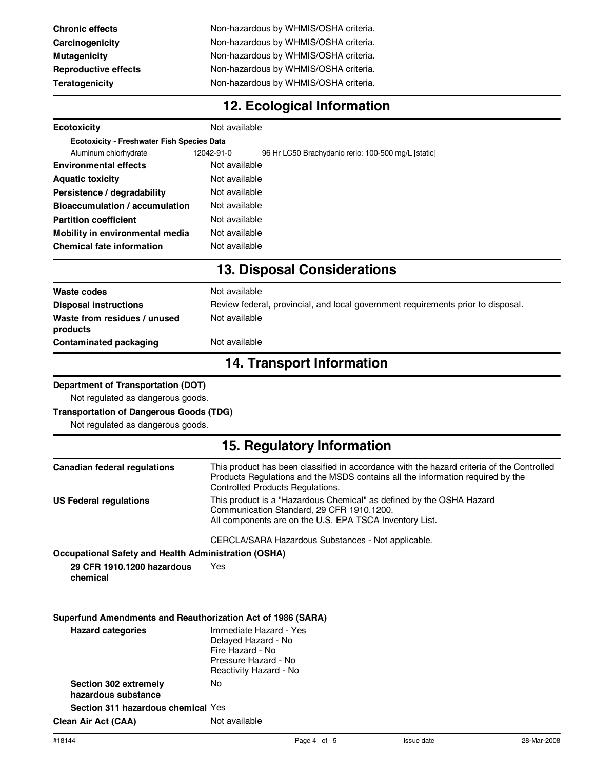| <b>Chronic effects</b>      | Non-hazardous by WHMIS/OSHA criteria. |
|-----------------------------|---------------------------------------|
| Carcinogenicity             | Non-hazardous by WHMIS/OSHA criteria. |
| Mutagenicity                | Non-hazardous by WHMIS/OSHA criteria. |
| <b>Reproductive effects</b> | Non-hazardous by WHMIS/OSHA criteria. |
| Teratogenicity              | Non-hazardous by WHMIS/OSHA criteria. |
|                             |                                       |

# **12. Ecological Information**

| <b>Ecotoxicity</b>                                          | Not available                                                                                                                                                                                                   |  |  |  |  |
|-------------------------------------------------------------|-----------------------------------------------------------------------------------------------------------------------------------------------------------------------------------------------------------------|--|--|--|--|
| <b>Ecotoxicity - Freshwater Fish Species Data</b>           |                                                                                                                                                                                                                 |  |  |  |  |
| Aluminum chlorhydrate                                       | 12042-91-0<br>96 Hr LC50 Brachydanio rerio: 100-500 mg/L [static]                                                                                                                                               |  |  |  |  |
| Not available<br><b>Environmental effects</b>               |                                                                                                                                                                                                                 |  |  |  |  |
| Not available<br><b>Aquatic toxicity</b>                    |                                                                                                                                                                                                                 |  |  |  |  |
| Persistence / degradability                                 | Not available                                                                                                                                                                                                   |  |  |  |  |
| <b>Bioaccumulation / accumulation</b>                       | Not available                                                                                                                                                                                                   |  |  |  |  |
| <b>Partition coefficient</b>                                | Not available                                                                                                                                                                                                   |  |  |  |  |
| Mobility in environmental media                             | Not available                                                                                                                                                                                                   |  |  |  |  |
| <b>Chemical fate information</b>                            | Not available                                                                                                                                                                                                   |  |  |  |  |
|                                                             | <b>13. Disposal Considerations</b>                                                                                                                                                                              |  |  |  |  |
| <b>Waste codes</b>                                          | Not available                                                                                                                                                                                                   |  |  |  |  |
| <b>Disposal instructions</b>                                | Review federal, provincial, and local government requirements prior to disposal.                                                                                                                                |  |  |  |  |
| Waste from residues / unused<br>products                    | Not available                                                                                                                                                                                                   |  |  |  |  |
| <b>Contaminated packaging</b>                               | Not available                                                                                                                                                                                                   |  |  |  |  |
|                                                             | <b>14. Transport Information</b>                                                                                                                                                                                |  |  |  |  |
| <b>Department of Transportation (DOT)</b>                   |                                                                                                                                                                                                                 |  |  |  |  |
| Not regulated as dangerous goods.                           |                                                                                                                                                                                                                 |  |  |  |  |
| <b>Transportation of Dangerous Goods (TDG)</b>              |                                                                                                                                                                                                                 |  |  |  |  |
| Not regulated as dangerous goods.                           |                                                                                                                                                                                                                 |  |  |  |  |
|                                                             | 15. Regulatory Information                                                                                                                                                                                      |  |  |  |  |
| <b>Canadian federal regulations</b>                         | This product has been classified in accordance with the hazard criteria of the Controlled<br>Products Regulations and the MSDS contains all the information required by the<br>Controlled Products Regulations. |  |  |  |  |
| <b>US Federal regulations</b>                               | This product is a "Hazardous Chemical" as defined by the OSHA Hazard<br>Communication Standard, 29 CFR 1910.1200.<br>All components are on the U.S. EPA TSCA Inventory List.                                    |  |  |  |  |
|                                                             | CERCLA/SARA Hazardous Substances - Not applicable.                                                                                                                                                              |  |  |  |  |
| <b>Occupational Safety and Health Administration (OSHA)</b> |                                                                                                                                                                                                                 |  |  |  |  |
| 29 CFR 1910.1200 hazardous<br>chemical                      | Yes                                                                                                                                                                                                             |  |  |  |  |
| Superfund Amendments and Reauthorization Act of 1986 (SARA) |                                                                                                                                                                                                                 |  |  |  |  |
| <b>Hazard categories</b>                                    | Immediate Hazard - Yes<br>Delayed Hazard - No<br>Fire Hazard - No<br>Pressure Hazard - No<br>Reactivity Hazard - No                                                                                             |  |  |  |  |
| Section 302 extremely<br>hazardous substance                | No.                                                                                                                                                                                                             |  |  |  |  |
|                                                             |                                                                                                                                                                                                                 |  |  |  |  |

**Clean Air Act (CAA)** Not available